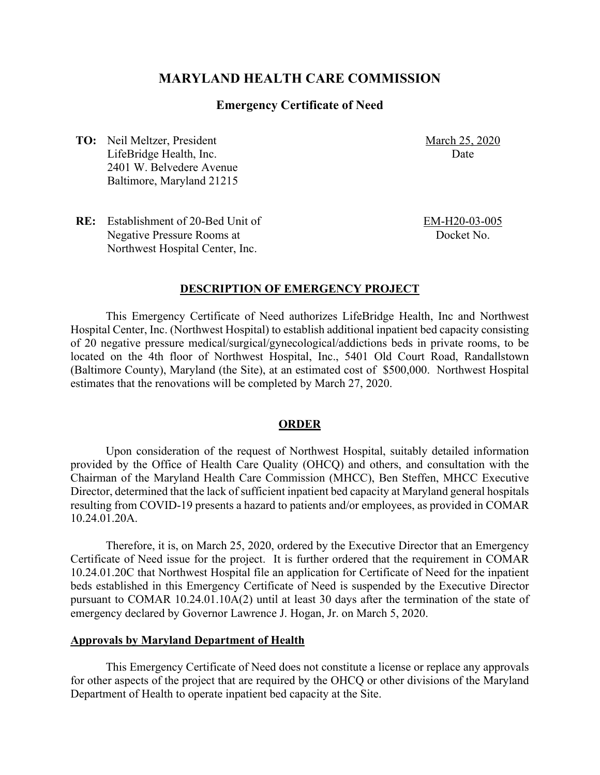# **MARYLAND HEALTH CARE COMMISSION**

### **Emergency Certificate of Need**

**TO:** Neil Meltzer, President LifeBridge Health, Inc. 2401 W. Belvedere Avenue Baltimore, Maryland 21215 March 25, 2020 Date

**RE:** Establishment of 20-Bed Unit of Negative Pressure Rooms at Northwest Hospital Center, Inc.

EM-H20-03-005 Docket No.

#### **DESCRIPTION OF EMERGENCY PROJECT**

This Emergency Certificate of Need authorizes LifeBridge Health, Inc and Northwest Hospital Center, Inc. (Northwest Hospital) to establish additional inpatient bed capacity consisting of 20 negative pressure medical/surgical/gynecological/addictions beds in private rooms, to be located on the 4th floor of Northwest Hospital, Inc., 5401 Old Court Road, Randallstown (Baltimore County), Maryland (the Site), at an estimated cost of \$500,000. Northwest Hospital estimates that the renovations will be completed by March 27, 2020.

#### **ORDER**

Upon consideration of the request of Northwest Hospital, suitably detailed information provided by the Office of Health Care Quality (OHCQ) and others, and consultation with the Chairman of the Maryland Health Care Commission (MHCC), Ben Steffen, MHCC Executive Director, determined that the lack of sufficient inpatient bed capacity at Maryland general hospitals resulting from COVID-19 presents a hazard to patients and/or employees, as provided in COMAR 10.24.01.20A.

Therefore, it is, on March 25, 2020, ordered by the Executive Director that an Emergency Certificate of Need issue for the project. It is further ordered that the requirement in COMAR 10.24.01.20C that Northwest Hospital file an application for Certificate of Need for the inpatient beds established in this Emergency Certificate of Need is suspended by the Executive Director pursuant to COMAR 10.24.01.10A(2) until at least 30 days after the termination of the state of emergency declared by Governor Lawrence J. Hogan, Jr. on March 5, 2020.

#### **Approvals by Maryland Department of Health**

This Emergency Certificate of Need does not constitute a license or replace any approvals for other aspects of the project that are required by the OHCQ or other divisions of the Maryland Department of Health to operate inpatient bed capacity at the Site.